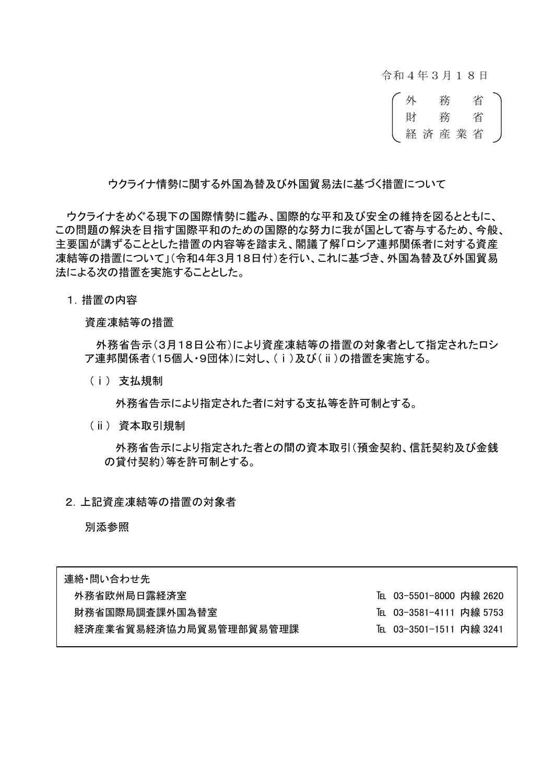令和4年3月18日



ウクライナ情勢に関する外国為替及び外国貿易法に基づく措置について

ウクライナをめぐる現下の国際情勢に鑑み、国際的な平和及び安全の維持を図るとともに、 この問題の解決を目指す国際平和のための国際的な努力に我が国として寄与するため、今般、 主要国が講ずることとした措置の内容等を踏まえ、閣議了解「ロシア連邦関係者に対する資産 凍結等の措置について」(令和4年3月18日付)を行い、これに基づき、外国為替及び外国貿易 法による次の措置を実施することとした。

1.措置の内容

資産凍結等の措置

外務省告示(3月18日公布)により資産凍結等の措置の対象者として指定されたロシ ア連邦関係者(15個人・9団体)に対し、(ⅰ)及び(ⅱ)の措置を実施する。

(ⅰ) 支払規制

外務省告示により指定された者に対する支払等を許可制とする。

(ⅱ) 資本取引規制

外務省告示により指定された者との間の資本取引(預金契約、信託契約及び金銭 の貸付契約)等を許可制とする。

2.上記資産凍結等の措置の対象者

別添参照

| 連絡・問い合わせ先              |                        |
|------------------------|------------------------|
| 外務省欧州局日露経済室            | ℡ 03-5501-8000 内線 2620 |
| 財務省国際局調査課外国為替室         | ℡ 03-3581-4111 内線 5753 |
| 経済産業省貿易経済協力局貿易管理部貿易管理課 | ℡ 03-3501-1511 内線 3241 |
|                        |                        |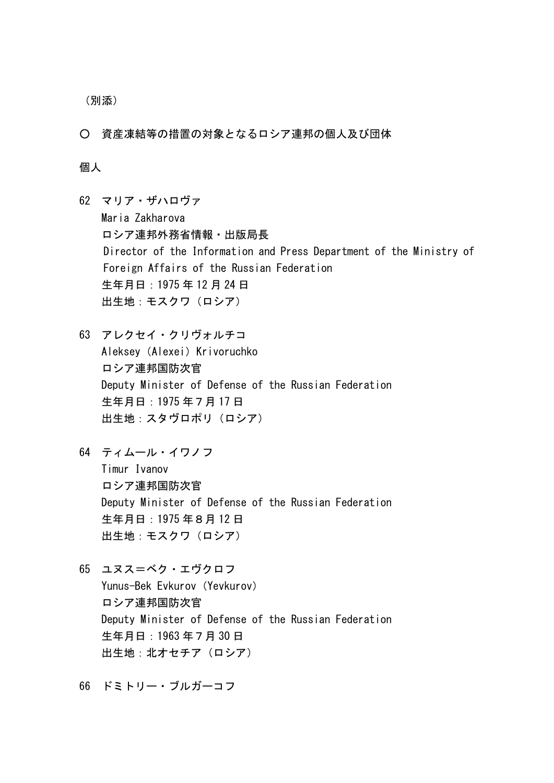(別添)

○ 資産凍結等の措置の対象となるロシア連邦の個人及び団体

## 個人

- 62 マリア・ザハロヴァ Maria Zakharova ロシア連邦外務省情報・出版局長 Director of the Information and Press Department of the Ministry of Foreign Affairs of the Russian Federation 生年月日:1975 年 12 月 24 日 出生地:モスクワ(ロシア)
- 63 アレクセイ・クリヴォルチコ Aleksey(Alexei)Krivoruchko ロシア連邦国防次官 Deputy Minister of Defense of the Russian Federation 生年月日:1975 年7月 17 日 出生地:スタヴロポリ(ロシア)
- 64 ティムール・イワノフ Timur Ivanov ロシア連邦国防次官 Deputy Minister of Defense of the Russian Federation 生年月日:1975 年8月 12 日 出生地:モスクワ(ロシア)
- 65 ユヌス=ベク・エヴクロフ Yunus-Bek Evkurov (Yevkurov) ロシア連邦国防次官 Deputy Minister of Defense of the Russian Federation 生年月日:1963 年7月 30 日 出生地:北オセチア(ロシア)
- 66 ドミトリー・ブルガーコフ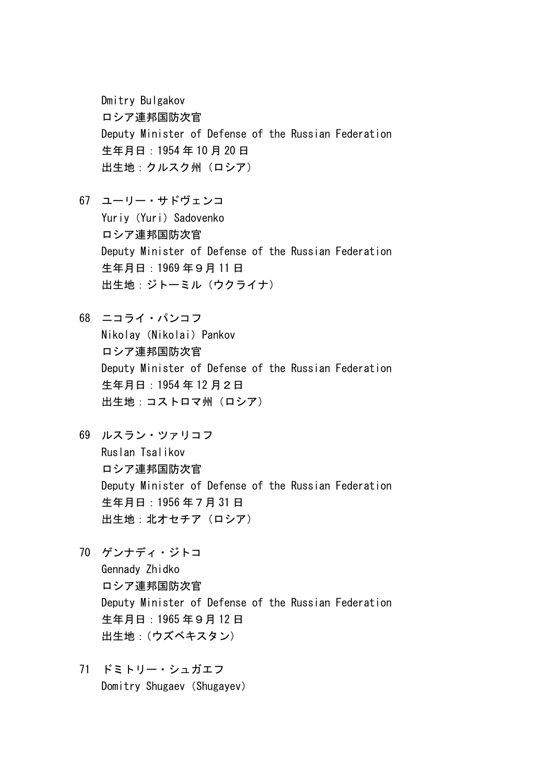Dmitry Bulgakov ロシア連邦国防次官 Deputy Minister of Defense of the Russian Federation 生年月日:1954 年 10 月 20 日 出生地:クルスク州(ロシア)

- 67 ユーリー・サドヴェンコ Yuriy (Yuri) Sadovenko ロシア連邦国防次官 Deputy Minister of Defense of the Russian Federation 生年月日:1969 年9月 11 日 出生地:ジトーミル(ウクライナ)
- 68 ニコライ・パンコフ Nikolay (Nikolai) Pankov ロシア連邦国防次官 Deputy Minister of Defense of the Russian Federation 生年月日:1954 年 12 月2日 出生地:コストロマ州(ロシア)
- 69 ルスラン・ツァリコフ Ruslan Tsalikov ロシア連邦国防次官 Deputy Minister of Defense of the Russian Federation 生年月日:1956 年7月 31 日 出生地: 北オセチア (ロシア)
- 70 ゲンナディ・ジトコ Gennady Zhidko ロシア連邦国防次官 Deputy Minister of Defense of the Russian Federation 生年月日:1965 年9月 12 日 出生地:(ウズベキスタン)
- 71 ドミトリー・シュガエフ Domitry Shugaev (Shugayev)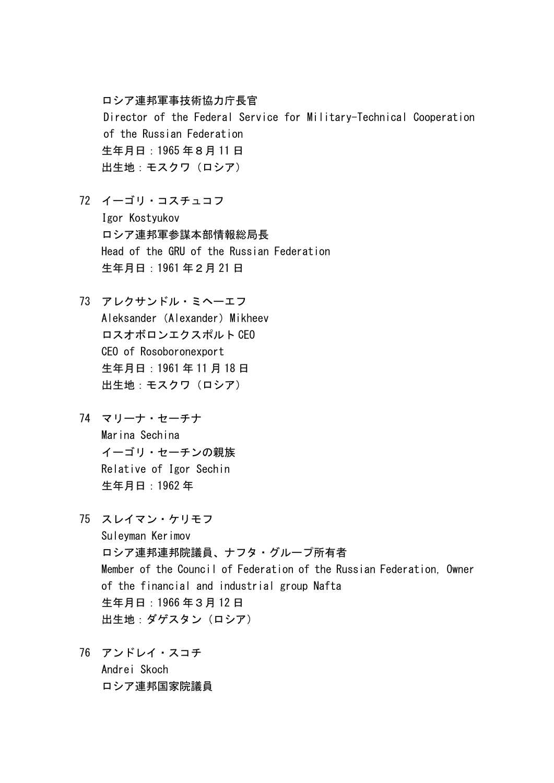ロシア連邦軍事技術協力庁長官 Director of the Federal Service for Military-Technical Cooperation of the Russian Federation 生年月日:1965 年8月 11 日 出生地:モスクワ(ロシア)

- 72 イーゴリ・コスチュコフ Igor Kostyukov ロシア連邦軍参謀本部情報総局長 Head of the GRU of the Russian Federation 生年月日:1961 年2月 21 日
- 73 アレクサンドル・ミヘーエフ Aleksander (Alexander) Mikheev ロスオボロンエクスポルト CEO CEO of Rosoboronexport 生年月日:1961 年 11 月 18 日 出生地: モスクワ (ロシア)
- 74 マリーナ・セーチナ Marina Sechina イーゴリ・セーチンの親族 Relative of Igor Sechin 生年月日:1962 年
- 75 スレイマン・ケリモフ Suleyman Kerimov ロシア連邦連邦院議員、ナフタ・グループ所有者 Member of the Council of Federation of the Russian Federation, Owner of the financial and industrial group Nafta 生年月日:1966 年3月 12 日 出生地:ダゲスタン(ロシア)
- 76 アンドレイ・スコチ Andrei Skoch ロシア連邦国家院議員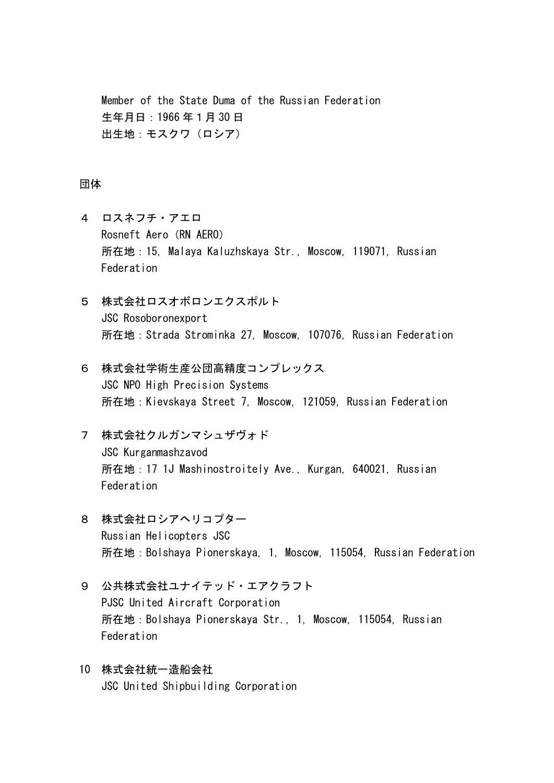Member of the State Duma of the Russian Federation 生年月日:1966 年1月 30 日 出生地:モスクワ(ロシア)

## 団体

- 4 ロスネフチ・アエロ Rosneft Aero (RN AERO) 所在地:15, Malaya Kaluzhskaya Str., Moscow, 119071, Russian Federation
- 5 株式会社ロスオボロンエクスポルト JSC Rosoboronexport 所在地:Strada Strominka 27, Moscow, 107076, Russian Federation
- 6 株式会社学術生産公団高精度コンプレックス JSC NPO High Precision Systems 所在地:Kievskaya Street 7, Moscow, 121059, Russian Federation
- 7 株式会社クルガンマシュザヴォド JSC Kurganmashzavod 所在地:17 1J Mashinostroitely Ave., Kurgan, 640021, Russian Federation
- 8 株式会社ロシアヘリコプター Russian Helicopters JSC 所在地:Bolshaya Pionerskaya, 1, Moscow, 115054, Russian Federation
- 9 公共株式会社ユナイテッド・エアクラフト PJSC United Aircraft Corporation 所在地:Bolshaya Pionerskaya Str., 1, Moscow, 115054, Russian Federation
- 10 株式会社統一造船会社 JSC United Shipbuilding Corporation